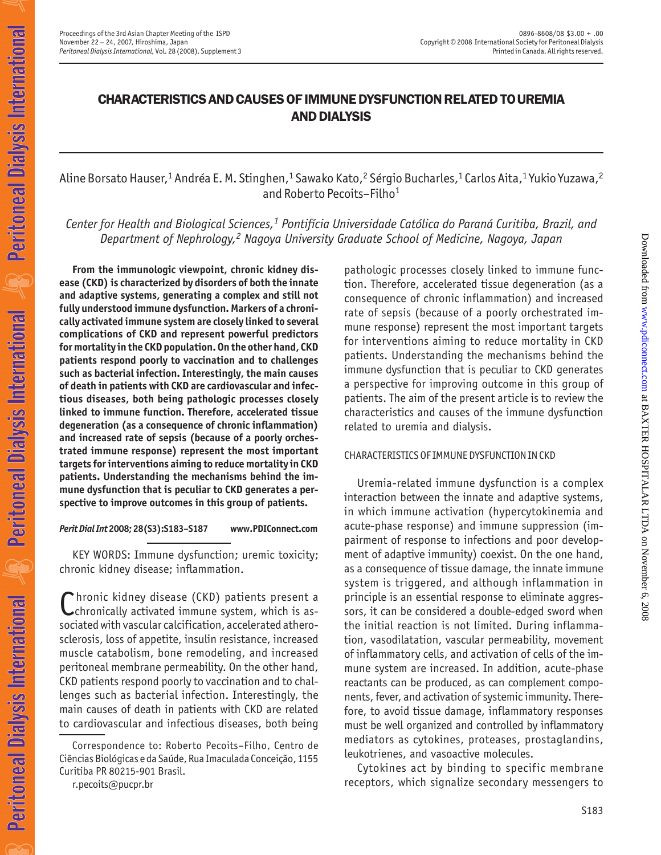## CHARACTERISTICS AND CAUSES OF IMMUNE DYSFUNCTION RELATED TO UREMIA AND DIALYSIS

Aline Borsato Hauser,<sup>1</sup> Andréa E. M. Stinghen,<sup>1</sup> Sawako Kato,<sup>2</sup> Sérgio Bucharles,<sup>1</sup> Carlos Aita,<sup>1</sup> Yukio Yuzawa,<sup>2</sup> and Roberto Pecoits–Filho<sup>1</sup>

*Center for Health and Biological Sciences,1 Pontifícia Universidade Católica do Paraná Curitiba, Brazil, and Department of Nephrology,2 Nagoya University Graduate School of Medicine, Nagoya, Japan*

**From the immunologic viewpoint, chronic kidney disease (CKD) is characterized by disorders of both the innate and adaptive systems, generating a complex and still not fully understood immune dysfunction. Markers of a chronically activated immune system are closely linked to several complications of CKD and represent powerful predictors for mortality in the CKD population. On the other hand, CKD patients respond poorly to vaccination and to challenges such as bacterial infection. Interestingly, the main causes of death in patients with CKD are cardiovascular and infectious diseases, both being pathologic processes closely linked to immune function. Therefore, accelerated tissue degeneration (as a consequence of chronic inflammation) and increased rate of sepsis (because of a poorly orchestrated immune response) represent the most important targets for interventions aiming to reduce mortality in CKD patients. Understanding the mechanisms behind the immune dysfunction that is peculiar to CKD generates a perspective to improve outcomes in this group of patients.**

*Perit Dial Int* **2008; 28(S3):S183–S187 www.PDIConnect.com**

KEY WORDS: Immune dysfunction; uremic toxicity; chronic kidney disease; inflammation.

Chronic kidney disease (CKD) patients present a chronically activated immune system, which is associated with vascular calcification, accelerated atherosclerosis, loss of appetite, insulin resistance, increased muscle catabolism, bone remodeling, and increased peritoneal membrane permeability. On the other hand, CKD patients respond poorly to vaccination and to challenges such as bacterial infection. Interestingly, the main causes of death in patients with CKD are related to cardiovascular and infectious diseases, both being

r.pecoits@pucpr.br

pathologic processes closely linked to immune function. Therefore, accelerated tissue degeneration (as a consequence of chronic inflammation) and increased rate of sepsis (because of a poorly orchestrated immune response) represent the most important targets for interventions aiming to reduce mortality in CKD patients. Understanding the mechanisms behind the immune dysfunction that is peculiar to CKD generates a perspective for improving outcome in this group of patients. The aim of the present article is to review the characteristics and causes of the immune dysfunction related to uremia and dialysis.

### CHARACTERISTICS OF IMMUNE DYSFUNCTION IN CKD

Uremia-related immune dysfunction is a complex interaction between the innate and adaptive systems, in which immune activation (hypercytokinemia and acute-phase response) and immune suppression (impairment of response to infections and poor development of adaptive immunity) coexist. On the one hand, as a consequence of tissue damage, the innate immune system is triggered, and although inflammation in principle is an essential response to eliminate aggressors, it can be considered a double-edged sword when the initial reaction is not limited. During inflammation, vasodilatation, vascular permeability, movement of inflammatory cells, and activation of cells of the immune system are increased. In addition, acute-phase reactants can be produced, as can complement components, fever, and activation of systemic immunity. Therefore, to avoid tissue damage, inflammatory responses must be well organized and controlled by inflammatory mediators as cytokines, proteases, prostaglandins, leukotrienes, and vasoactive molecules.

Cytokines act by binding to specific membrane receptors, which signalize secondary messengers to

Correspondence to: Roberto Pecoits–Filho, Centro de Ciências Biológicas e da Saúde, Rua Imaculada Conceição, 1155 Curitiba PR 80215-901 Brasil.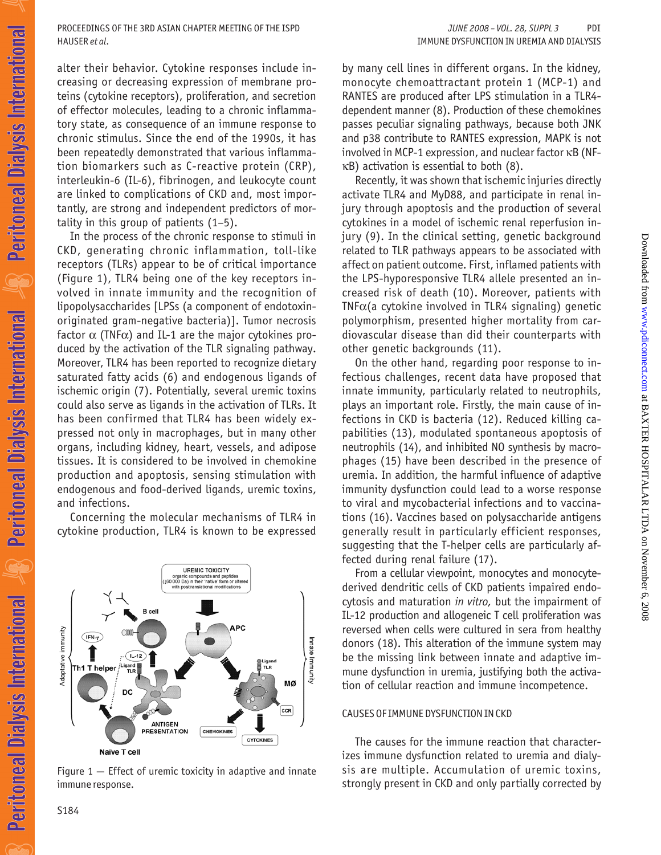alter their behavior. Cytokine responses include increasing or decreasing expression of membrane proteins (cytokine receptors), proliferation, and secretion of effector molecules, leading to a chronic inflammatory state, as consequence of an immune response to chronic stimulus. Since the end of the 1990s, it has been repeatedly demonstrated that various inflammation biomarkers such as C-reactive protein (CRP), interleukin-6 (IL-6), fibrinogen, and leukocyte count are linked to complications of CKD and, most importantly, are strong and independent predictors of mortality in this group of patients (1–5).

In the process of the chronic response to stimuli in CKD, generating chronic inflammation, toll-like receptors (TLRs) appear to be of critical importance (Figure 1), TLR4 being one of the key receptors involved in innate immunity and the recognition of lipopolysaccharides [LPSs (a component of endotoxinoriginated gram-negative bacteria)]. Tumor necrosis factor  $\alpha$  (TNF $\alpha$ ) and IL-1 are the major cytokines produced by the activation of the TLR signaling pathway. Moreover, TLR4 has been reported to recognize dietary saturated fatty acids (6) and endogenous ligands of ischemic origin (7). Potentially, several uremic toxins could also serve as ligands in the activation of TLRs. It has been confirmed that TLR4 has been widely expressed not only in macrophages, but in many other organs, including kidney, heart, vessels, and adipose tissues. It is considered to be involved in chemokine production and apoptosis, sensing stimulation with endogenous and food-derived ligands, uremic toxins, and infections.

Concerning the molecular mechanisms of TLR4 in cytokine production, TLR4 is known to be expressed



Figure  $1$   $-$  Effect of uremic toxicity in adaptive and innate immune response.

by many cell lines in different organs. In the kidney, monocyte chemoattractant protein 1 (MCP-1) and RANTES are produced after LPS stimulation in a TLR4 dependent manner (8). Production of these chemokines passes peculiar signaling pathways, because both JNK and p38 contribute to RANTES expression, MAPK is not involved in MCP-1 expression, and nuclear factor κB (NFκB) activation is essential to both (8).

Recently, it was shown that ischemic injuries directly activate TLR4 and MyD88, and participate in renal injury through apoptosis and the production of several cytokines in a model of ischemic renal reperfusion injury (9). In the clinical setting, genetic background related to TLR pathways appears to be associated with affect on patient outcome. First, inflamed patients with the LPS-hyporesponsive TLR4 allele presented an increased risk of death (10). Moreover, patients with  $TNF\alpha$ (a cytokine involved in TLR4 signaling) genetic polymorphism, presented higher mortality from cardiovascular disease than did their counterparts with other genetic backgrounds (11).

On the other hand, regarding poor response to infectious challenges, recent data have proposed that innate immunity, particularly related to neutrophils, plays an important role. Firstly, the main cause of infections in CKD is bacteria (12). Reduced killing capabilities (13), modulated spontaneous apoptosis of neutrophils (14), and inhibited NO synthesis by macrophages (15) have been described in the presence of uremia. In addition, the harmful influence of adaptive immunity dysfunction could lead to a worse response to viral and mycobacterial infections and to vaccinations (16). Vaccines based on polysaccharide antigens generally result in particularly efficient responses, suggesting that the T-helper cells are particularly affected during renal failure (17).

From a cellular viewpoint, monocytes and monocytederived dendritic cells of CKD patients impaired endocytosis and maturation *in vitro,* but the impairment of IL-12 production and allogeneic T cell proliferation was reversed when cells were cultured in sera from healthy donors (18). This alteration of the immune system may be the missing link between innate and adaptive immune dysfunction in uremia, justifying both the activation of cellular reaction and immune incompetence.

### CAUSES OF IMMUNE DYSFUNCTION IN CKD

The causes for the immune reaction that characterizes immune dysfunction related to uremia and dialysis are multiple. Accumulation of uremic toxins, strongly present in CKD and only partially corrected by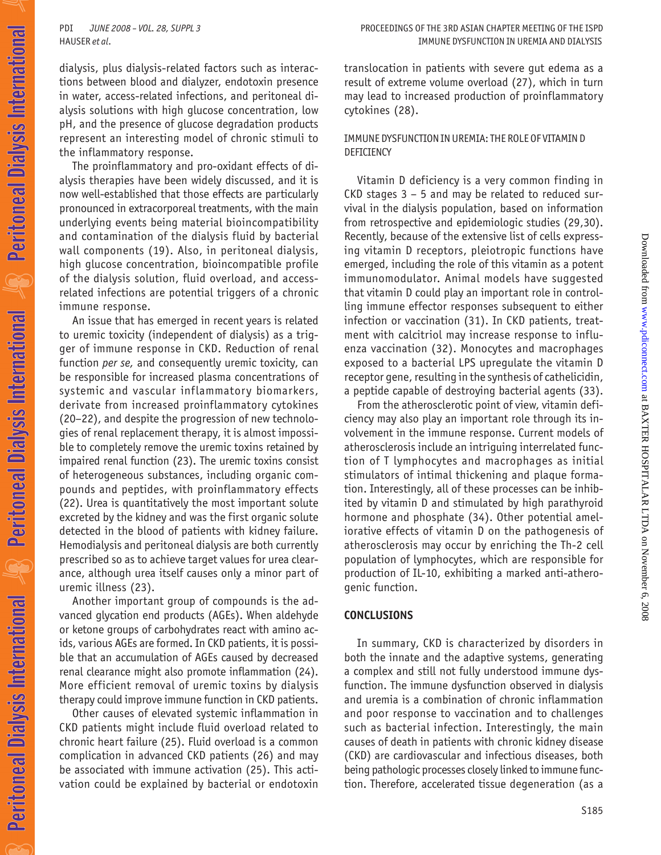dialysis, plus dialysis-related factors such as interactions between blood and dialyzer, endotoxin presence in water, access-related infections, and peritoneal dialysis solutions with high glucose concentration, low pH, and the presence of glucose degradation products represent an interesting model of chronic stimuli to the inflammatory response.

The proinflammatory and pro-oxidant effects of dialysis therapies have been widely discussed, and it is now well-established that those effects are particularly pronounced in extracorporeal treatments, with the main underlying events being material bioincompatibility and contamination of the dialysis fluid by bacterial wall components (19). Also, in peritoneal dialysis, high glucose concentration, bioincompatible profile of the dialysis solution, fluid overload, and accessrelated infections are potential triggers of a chronic immune response.

An issue that has emerged in recent years is related to uremic toxicity (independent of dialysis) as a trigger of immune response in CKD. Reduction of renal function *per se,* and consequently uremic toxicity, can be responsible for increased plasma concentrations of systemic and vascular inflammatory biomarkers, derivate from increased proinflammatory cytokines (20–22), and despite the progression of new technologies of renal replacement therapy, it is almost impossible to completely remove the uremic toxins retained by impaired renal function (23). The uremic toxins consist of heterogeneous substances, including organic compounds and peptides, with proinflammatory effects (22). Urea is quantitatively the most important solute excreted by the kidney and was the first organic solute detected in the blood of patients with kidney failure. Hemodialysis and peritoneal dialysis are both currently prescribed so as to achieve target values for urea clearance, although urea itself causes only a minor part of uremic illness (23).

Another important group of compounds is the advanced glycation end products (AGEs). When aldehyde or ketone groups of carbohydrates react with amino acids, various AGEs are formed. In CKD patients, it is possible that an accumulation of AGEs caused by decreased renal clearance might also promote inflammation (24). More efficient removal of uremic toxins by dialysis therapy could improve immune function in CKD patients.

Other causes of elevated systemic inflammation in CKD patients might include fluid overload related to chronic heart failure (25). Fluid overload is a common complication in advanced CKD patients (26) and may be associated with immune activation (25). This activation could be explained by bacterial or endotoxin translocation in patients with severe gut edema as a result of extreme volume overload (27), which in turn may lead to increased production of proinflammatory cytokines (28).

### IMMUNE DYSFUNCTION IN UREMIA: THE ROLE OF VITAMIN D DEFICIENCY

Vitamin D deficiency is a very common finding in CKD stages 3 – 5 and may be related to reduced survival in the dialysis population, based on information from retrospective and epidemiologic studies (29,30). Recently, because of the extensive list of cells expressing vitamin D receptors, pleiotropic functions have emerged, including the role of this vitamin as a potent immunomodulator. Animal models have suggested that vitamin D could play an important role in controlling immune effector responses subsequent to either infection or vaccination (31). In CKD patients, treatment with calcitriol may increase response to influenza vaccination (32). Monocytes and macrophages exposed to a bacterial LPS upregulate the vitamin D receptor gene, resulting in the synthesis of cathelicidin, a peptide capable of destroying bacterial agents (33).

From the atherosclerotic point of view, vitamin deficiency may also play an important role through its involvement in the immune response. Current models of atherosclerosis include an intriguing interrelated function of T lymphocytes and macrophages as initial stimulators of intimal thickening and plaque formation. Interestingly, all of these processes can be inhibited by vitamin D and stimulated by high parathyroid hormone and phosphate (34). Other potential ameliorative effects of vitamin D on the pathogenesis of atherosclerosis may occur by enriching the Th-2 cell population of lymphocytes, which are responsible for production of IL-10, exhibiting a marked anti-atherogenic function.

## **CONCLUSIONS**

In summary, CKD is characterized by disorders in both the innate and the adaptive systems, generating a complex and still not fully understood immune dysfunction. The immune dysfunction observed in dialysis and uremia is a combination of chronic inflammation and poor response to vaccination and to challenges such as bacterial infection. Interestingly, the main causes of death in patients with chronic kidney disease (CKD) are cardiovascular and infectious diseases, both being pathologic processes closely linked to immune function. Therefore, accelerated tissue degeneration (as a

Downloadedfrom [www.pdiconnect.com](http://www.pdiconnect.com) at BAXTER HOSPITALAR LTDA on November 6, 2008

Downloaded from www.pdiconnect.com at BAXTER HOSPITALAR LTDA on November 6, 2008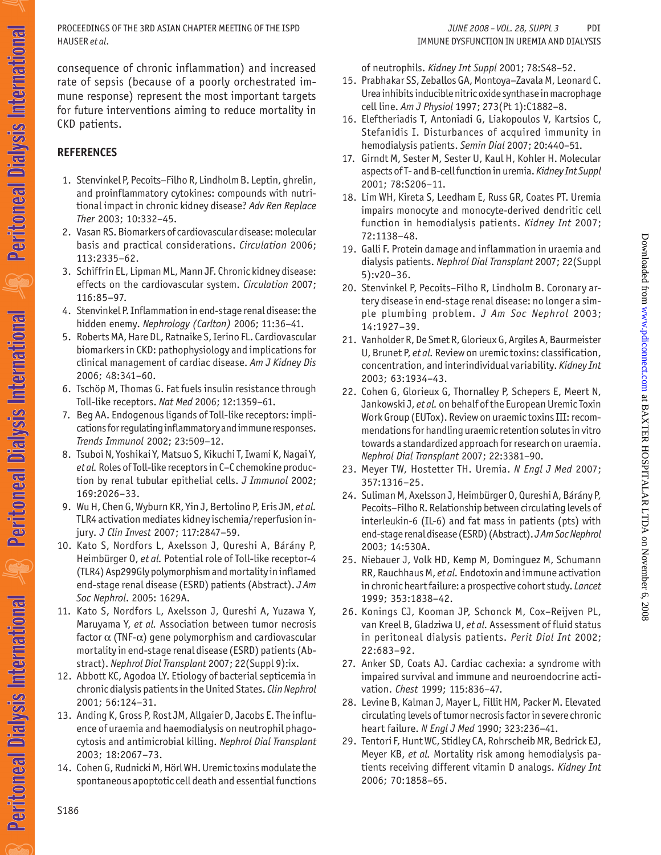HAUSER *et al*. IMMUNE DYSFUNCTION IN UREMIA AND DIALYSIS PROCEEDINGS OF THE 3RD ASIAN CHAPTER MEETING OF THE ISPD *JUNE 2008 – VOL. 28, SUPPL 3* PDI

consequence of chronic inflammation) and increased rate of sepsis (because of a poorly orchestrated immune response) represent the most important targets for future interventions aiming to reduce mortality in CKD patients.

# **REFERENCES**

- 1. Stenvinkel P, Pecoits–Filho R, Lindholm B. Leptin, ghrelin, and proinflammatory cytokines: compounds with nutritional impact in chronic kidney disease? *Adv Ren Replace Ther* 2003; 10:332–45.
- 2. Vasan RS. Biomarkers of cardiovascular disease: molecular basis and practical considerations. *Circulation* 2006; 113:2335–62.
- 3. Schiffrin EL, Lipman ML, Mann JF. Chronic kidney disease: effects on the cardiovascular system. *Circulation* 2007; 116:85–97.
- 4. Stenvinkel P. Inflammation in end-stage renal disease: the hidden enemy. *Nephrology (Carlton)* 2006; 11:36–41.
- 5. Roberts MA, Hare DL, Ratnaike S, Ierino FL. Cardiovascular biomarkers in CKD: pathophysiology and implications for clinical management of cardiac disease. *Am J Kidney Dis* 2006; 48:341–60.
- 6. Tschöp M, Thomas G. Fat fuels insulin resistance through Toll-like receptors. *Nat Med* 2006; 12:1359–61.
- 7. Beg AA. Endogenous ligands of Toll-like receptors: implications for regulating inflammatory and immune responses. *Trends Immunol* 2002; 23:509–12.
- 8. Tsuboi N, Yoshikai Y, Matsuo S, Kikuchi T, Iwami K, Nagai Y, *et al.* Roles of Toll-like receptors in C–C chemokine production by renal tubular epithelial cells. *J Immunol* 2002; 169:2026–33.
- 9. Wu H, Chen G, Wyburn KR, Yin J, Bertolino P, Eris JM, *et al.* TLR4 activation mediates kidney ischemia/reperfusion injury. *J Clin Invest* 2007; 117:2847–59.
- 10. Kato S, Nordfors L, Axelsson J, Qureshi A, Bárány P, Heimbürger O, *et al.* Potential role of Toll-like receptor-4 (TLR4) Asp299Gly polymorphism and mortality in inflamed end-stage renal disease (ESRD) patients (Abstract). *J Am Soc Nephrol*. 2005: 1629A.
- 11. Kato S, Nordfors L, Axelsson J, Qureshi A, Yuzawa Y, Maruyama Y, *et al.* Association between tumor necrosis factor  $\alpha$  (TNF- $\alpha$ ) gene polymorphism and cardiovascular mortality in end-stage renal disease (ESRD) patients (Abstract). *Nephrol Dial Transplant* 2007; 22(Suppl 9):ix.
- 12. Abbott KC, Agodoa LY. Etiology of bacterial septicemia in chronic dialysis patients in the United States. *Clin Nephrol* 2001; 56:124–31.
- 13. Anding K, Gross P, Rost JM, Allgaier D, Jacobs E. The influence of uraemia and haemodialysis on neutrophil phagocytosis and antimicrobial killing. *Nephrol Dial Transplant* 2003; 18:2067–73.
- 14. Cohen G, Rudnicki M, Hörl WH. Uremic toxins modulate the spontaneous apoptotic cell death and essential functions

of neutrophils. *Kidney Int Suppl* 2001; 78:S48–52.

- 15. Prabhakar SS, Zeballos GA, Montoya–Zavala M, Leonard C. Urea inhibits inducible nitric oxide synthase in macrophage cell line. *Am J Physiol* 1997; 273(Pt 1):C1882–8.
- 16. Eleftheriadis T, Antoniadi G, Liakopoulos V, Kartsios C, Stefanidis I. Disturbances of acquired immunity in hemodialysis patients. *Semin Dial* 2007; 20:440–51.
- 17. Girndt M, Sester M, Sester U, Kaul H, Kohler H. Molecular aspects of T- and B-cell function in uremia. *Kidney Int Suppl* 2001; 78:S206–11.
- 18. Lim WH, Kireta S, Leedham E, Russ GR, Coates PT. Uremia impairs monocyte and monocyte-derived dendritic cell function in hemodialysis patients. *Kidney Int* 2007; 72:1138–48.
- 19. Galli F. Protein damage and inflammation in uraemia and dialysis patients. *Nephrol Dial Transplant* 2007; 22(Suppl 5):v20–36.
- 20. Stenvinkel P, Pecoits–Filho R, Lindholm B. Coronary artery disease in end-stage renal disease: no longer a simple plumbing problem. *J Am Soc Nephrol* 2003; 14:1927–39.
- 21. Vanholder R, De Smet R, Glorieux G, Argiles A, Baurmeister U, Brunet P, *et al.* Review on uremic toxins: classification, concentration, and interindividual variability. *Kidney Int* 2003; 63:1934–43.
- 22. Cohen G, Glorieux G, Thornalley P, Schepers E, Meert N, Jankowski J, *et al.* on behalf of the European Uremic Toxin Work Group (EUTox). Review on uraemic toxins III: recommendations for handling uraemic retention solutes in vitro towards a standardized approach for research on uraemia. *Nephrol Dial Transplant* 2007; 22:3381–90.

Downloadedfrom [www.pdiconnect.com](http://www.pdiconnect.com) at BAXTER HOSPITALAR LTDA on November 6, 2008

Downloaded from www.pdiconnect.com at BAXTER HOSPITALAR LTDA on November 6, 2008

- 23. Meyer TW, Hostetter TH. Uremia. *N Engl J Med* 2007; 357:1316–25.
- 24. Suliman M, Axelsson J, Heimbürger O, Qureshi A, Bárány P, Pecoits–Filho R. Relationship between circulating levels of interleukin-6 (IL-6) and fat mass in patients (pts) with end-stage renal disease (ESRD) (Abstract). *J Am Soc Nephrol* 2003; 14:530A.
- 25. Niebauer J, Volk HD, Kemp M, Dominguez M, Schumann RR, Rauchhaus M, *et al.* Endotoxin and immune activation in chronic heart failure: a prospective cohort study. *Lancet* 1999; 353:1838–42.
- 26. Konings CJ, Kooman JP, Schonck M, Cox–Reijven PL, van Kreel B, Gladziwa U, *et al.* Assessment of fluid status in peritoneal dialysis patients. *Perit Dial Int* 2002; 22:683–92.
- 27. Anker SD, Coats AJ. Cardiac cachexia: a syndrome with impaired survival and immune and neuroendocrine activation. *Chest* 1999; 115:836–47.
- 28. Levine B, Kalman J, Mayer L, Fillit HM, Packer M. Elevated circulating levels of tumor necrosis factor in severe chronic heart failure. *N Engl J Med* 1990; 323:236–41.
- 29. Tentori F, Hunt WC, Stidley CA, Rohrscheib MR, Bedrick EJ, Meyer KB, *et al.* Mortality risk among hemodialysis patients receiving different vitamin D analogs. *Kidney Int* 2006; 70:1858–65.